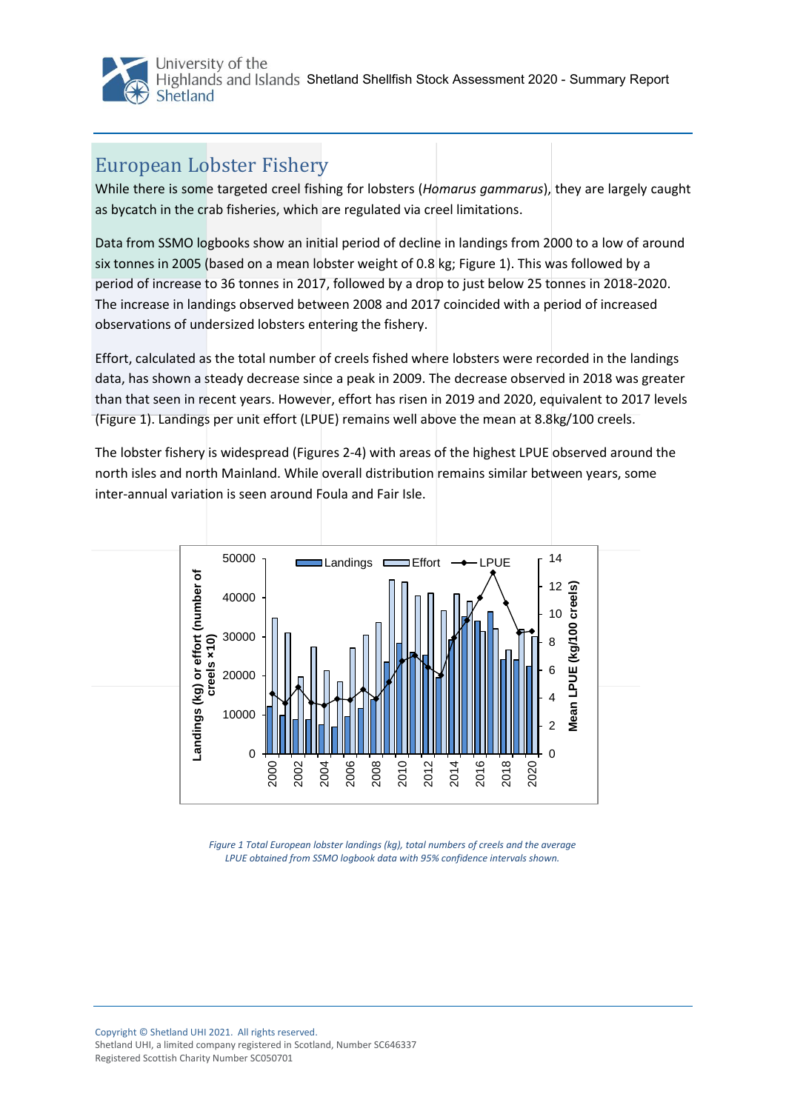

## European Lobster Fishery

While there is some targeted creel fishing for lobsters (*Homarus gammarus*), they are largely caught as bycatch in the crab fisheries, which are regulated via creel limitations.

Data from SSMO logbooks show an initial period of decline in landings from 2000 to a low of around six tonnes in 2005 (based on a mean lobster weight of 0.8 kg; [Figure 1](#page-0-0)). This was followed by a period of increase to 36 tonnes in 2017, followed by a drop to just below 25 tonnes in 2018-2020. The increase in landings observed between 2008 and 2017 coincided with a period of increased observations of undersized lobsters entering the fishery.

Effort, calculated as the total number of creels fished where lobsters were recorded in the landings data, has shown a steady decrease since a peak in 2009. The decrease observed in 2018 was greater than that seen in recent years. However, effort has risen in 2019 and 2020, equivalent to 2017 levels [\(Figure 1](#page-0-0)). Landings per unit effort (LPUE) remains well above the mean at 8.8kg/100 creels.

The lobster fishery is widespread (Figures 2-4) with areas of the highest LPUE observed around the north isles and north Mainland. While overall distribution remains similar between years, some inter-annual variation is seen around Foula and Fair Isle.



<span id="page-0-0"></span>*Figure 1 Total European lobster landings (kg), total numbers of creels and the average LPUE obtained from SSMO logbook data with 95% confidence intervals shown.*